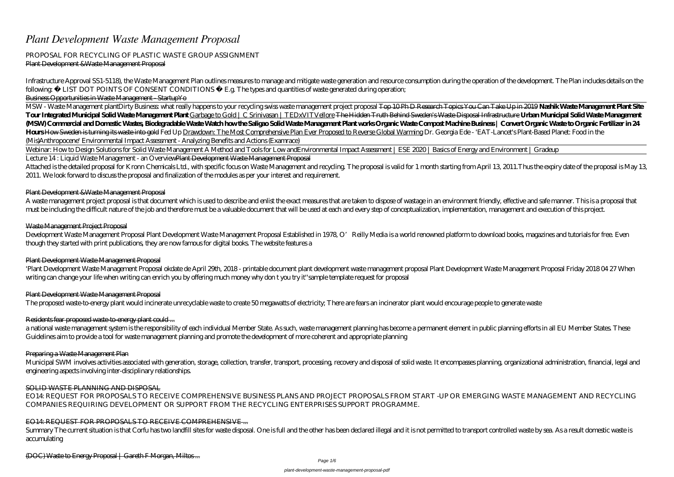# *Plant Development Waste Management Proposal*

### PROPOSAL FOR RECYCLING OF PLASTIC WASTE GROUP ASSIGNMENT Plant Development &Waste Management Proposal

Infrastructure Approval SS1-5118), the Waste Management Plan outlines measures to manage and mitigate waste generation and resource consumption during the operation of the development. The Plan includes details on the following  $\leftarrow$  LIST DOT POINTS OF CONSENT CONDITIONS  $\leftarrow$  E.g. The types and quantities of waste generated during operation; Business Opportunities in Waste Management - StartupYo

MSW - Waste Management plantDirty Business what really happens to your recycling swiss waste management project proposal Top 10 PhD Research Topics You Can Take Up in 2019 **Nashik Waste Management Plant Site** Tour Integrated Municipal Solid Waste Management Plant Garbage to Gold | C Srinivasan | TEDxVITVellore The Hidden Truth Behind Sweden's Waste Disposal Infrastructure Urban Municipal Solid Waste Management (M5W) Commercial and Domestic Wastes Biodegradable Waste Watch how the Saligno Solid Waste Margement Plant works Organic Waste Compost Machine Business | Convert Organic Waste to Organic Fertilizer in 24 **Hours** How Sweden is turning its waste into gold Fed Up Drawdown: The Most Comprehensive Plan Ever Proposed to Reverse Global Warming Dr. Georgia Ede - 'EAT-Lancet's Plant-Based Planet: Food in the (Mis)Anthropocene' Environmental Impact Assessment - Analyzing Benefits and Actions (Examrace)

Attached is the detailed proposal for Kronn Chemicals Ltd., with specific focus on Waste Management and recycling. The proposal is valid for 1 month starting from April 13, 2011. Thus the expiry date of the proposal is May 2011. We look forward to discuss the proposal and finalization of the modules as per your interest and requirement.

Development Waste Management Proposal Plant Development Waste Management Proposal Established in 1978, O'Reilly Media is a world renowned platform to download books, magazines and tutorials for free. Even though they started with print publications, they are now famous for digital books. The website features a

Webinar: How to Design Solutions for Solid Waste Management A Method and Tools for Low and*Environmental Impact Assessment | ESE 2020 | Basics of Energy and Environment | Gradeup* Lecture 14 : Liquid Waste Management - an OverviewPlant Development Waste Management Proposal

## Plant Development &Waste Management Proposal

Municipal SWM involves activities associated with generation, storage, collection, transfer, transport, processing, recovery and disposal of solid waste. It encompasses planning, organizational administration, financial, l engineering aspects involving inter-disciplinary relationships.

A waste management project proposal is that document which is used to describe and enlist the exact measures that are taken to dispose of wastage in an environment friendly, effective and safe manner. This is a proposal that must be including the difficult nature of the job and therefore must be a valuable document that will be used at each and every step of conceptualization, implementation, management and execution of this project.

Summary The current situation is that Corfu has two landfill sites for waste disposal. One is full and the other has been declared illegal and it is not permitted to transport controlled waste by sea. As a result domestic accumulating

### Waste Management Project Proposal

### Plant Development Waste Management Proposal

'Plant Development Waste Management Proposal okdate de April 29th, 2018 - printable document plant development waste management proposal Plant Development Waste Management Proposal Friday 2018 04 27 When writing can change your life when writing can enrich you by offering much money why don t you try it''sample template request for proposal

## Plant Development Waste Management Proposal

The proposed waste-to-energy plant would incinerate unrecyclable waste to create 50 megawatts of electricity; There are fears an incinerator plant would encourage people to generate waste

## Residents fear proposed waste-to-energy plant could ...

a national waste management system is the responsibility of each individual Member State. As such, waste management planning has become a permanent element in public planning efforts in all EU Member States. These Guidelines aim to provide a tool for waste management planning and promote the development of more coherent and appropriate planning

### Preparing a Waste Management Plan

### SOLID WASTE PLANNING AND DISPOSAL

EO14: REQUEST FOR PROPOSALS TO RECEIVE COMPREHENSIVE BUSINESS PLANS AND PROJECT PROPOSALS FROM START -UP OR EMERGING WASTE MANAGEMENT AND RECYCLING COMPANIES REQUIRING DEVELOPMENT OR SUPPORT FROM THE RECYCLING ENTERPRISES SUPPORT PROGRAMME.

## EO14: REQUEST FOR PROPOSALS TO RECEIVE COMPREHENSIVE ...

(DOC) Waste to Energy Proposal | Gareth F Morgan, Miltos ...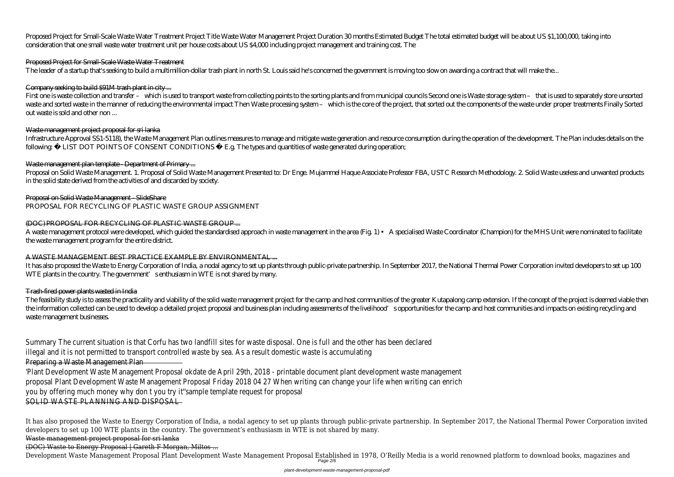Proposed Project for Small-Scale Waste Water Treatment Project Title Waste Water Management Project Duration 30 months Estimated Budget The total estimated budget will be about US \$1,100,000, taking into consideration that one small waste water treatment unit per house costs about US \$4,000 including project management and training cost. The

## Proposed Project for Small-Scale Waste Water Treatment

The leader of a startup that's seeking to build a multimillion-dollar trash plant in north St. Louis said he's concerned the government is moving too slow on awarding a contract that will make the...

First one is waste collection and transfer - which is used to transport waste from collecting points to the sorting plants and from municipal councils Second one is Waste storage system - that is used to separately store u waste and sorted waste in the manner of reducing the environmental impact Then Waste processing system – which is the core of the project, that sorted out the components of the waste under proper treatments Finally Sorted out waste is sold and other non ...

Infrastructure Approval SS1-5118), the Waste Management Plan outlines measures to manage and mitigate waste generation and resource consumption during the operation of the development. The Plan includes details on the following  $\leftarrow$  LIST DOT POINTS OF CONSENT CONDITIONS  $\leftarrow$  E.g. The types and quantities of waste generated during operation;

## Waste management plan template - Department of Primary...

## Company seeking to build \$91M trash plant in city ...

## Waste management project proposal for sri lanka

It has also proposed the Waste to Energy Corporation of India, a nodal agency to set up plants through public-private partnership. In September 2017, the National Thermal Power Corporation invited developers to set up 100 WTE plants in the country. The government's enthusiasm in WTE is not shared by many.

The feasibility study is to assess the practicality and viability of the solid waste management project for the camp and host communities of the greater Kutapalong camp extension. If the concept of the project is deemed vi the information collected can be used to develop a detailed project proposal and business plan including assessments of the livelihood's opportunities for the camp and host communities and impacts on existing recycling and waste management businesses.

Proposal on Solid Waste Management. 1. Proposal of Solid Waste Management Presented to: Dr Enge. Mujammel Haque Associate Professor FBA, USTC Research Methodology. 2. Solid Waste useless and unwanted products in the solid state derived from the activities of and discarded by society.

Proposal on Solid Waste Management - SlideShare PROPOSAL FOR RECYCLING OF PLASTIC WASTE GROUP ASSIGNMENT

## (DOC) PROPOSAL FOR RECYCLING OF PLASTIC WASTE GROUP ...

Development Waste Management Proposal Plant Development Waste Management Proposal Established in 1978, O'Reilly Media is a world renowned platform to download books, magazines and Page 2/6

A waste management protocol were developed, which guided the standardised approach in waste management in the area (Fig. 1) • A specialised Waste Coordinator (Champion) for the MHS Unit were nominated to facilitate the waste management program for the entire district.

## A WASTE MANAGEMENT BEST PRACTICE EXAMPLE BY ENVIRONMENTAL ...

## Trash-fired power plants wasted in India

Summary The current situation is that Corfu has two landfill sites for waste disposal. One is full and the other has been declared

illegal and it is not permitted to transport controlled waste by sea. As a result domestic waste is accumulating

## Preparing a Waste Management Plan

'Plant Development Waste Management Proposal okdate de April 29th, 2018 - printable document plant development waste management

proposal Plant Development Waste Management Proposal Friday 2018 04 27 When writing can change your life when writing can enrich

you by offering much money why don t you try it''sample template request for proposal

SOLID WASTE PLANNING AND DISPOSAL

It has also proposed the Waste to Energy Corporation of India, a nodal agency to set up plants through public-private partnership. In September 2017, the National Thermal Power Corporation invited developers to set up 100 WTE plants in the country. The government's enthusiasm in WTE is not shared by many.

Waste management project proposal for sri lanka

(DOC) Waste to Energy Proposal | Gareth F Morgan, Miltos ...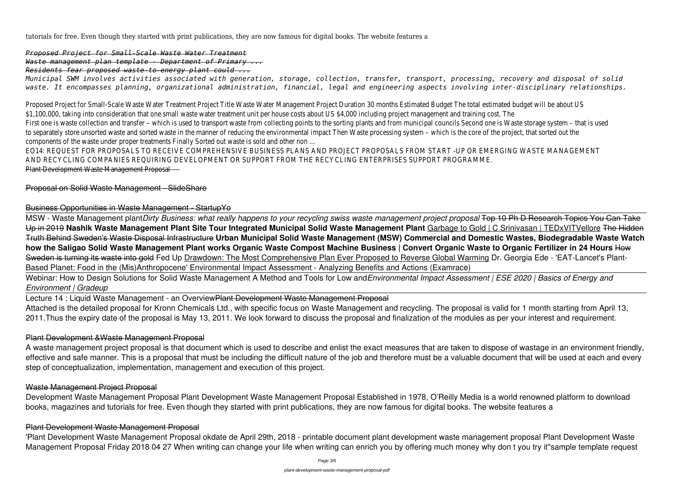tutorials for free. Even though they started with print publications, they are now famous for digital books. The website features a

*Proposed Project for Small-Scale Waste Water Treatment Waste management plan template - Department of Primary ...*

*Residents fear proposed waste-to-energy plant could ...*

*Municipal SWM involves activities associated with generation, storage, collection, transfer, transport, processing, recovery and disposal of solid waste. It encompasses planning, organizational administration, financial, legal and engineering aspects involving inter-disciplinary relationships.*

Proposed Project for Small-Scale Waste Water Treatment Project Title Waste Water Management Project Duration 30 months Estimated Budget The total estimated budget will be about US \$1,100,000, taking into consideration that one small waste water treatment unit per house costs about US \$4,000 including project management and training cost. The First one is waste collection and transfer – which is used to transport waste from collecting points to the sorting plants and from municipal councils Second one is Waste storage system – that is used to separately store unsorted waste and sorted waste in the manner of reducing the environmental impact Then Waste processing system – which is the core of the project, that sorted out the components of the waste under proper treatments Finally Sorted out waste is sold and other non ... EO14: REQUEST FOR PROPOSALS TO RECEIVE COMPREHENSIVE BUSINESS PLANS AND PROJECT PROPOSALS FROM START -UP OR EMERGING WASTE MANAGEMENT

Webinar: How to Design Solutions for Solid Waste Management A Method and Tools for Low and Environmental Impact Assessment | ESE 2020 | Basics of Energy and *Environment | Gradeup*

AND RECYCLING COMPANIES REQUIRING DEVELOPMENT OR SUPPORT FROM THE RECYCLING ENTERPRISES SUPPORT PROGRAMME.

Lecture 14 : Liquid Waste Management - an OverviewPlant Development Waste Management Proposal Attached is the detailed proposal for Kronn Chemicals Ltd., with specific focus on Waste Management and recycling. The proposal is valid for 1 month starting from April 13, 2011.Thus the expiry date of the proposal is May 13, 2011. We look forward to discuss the proposal and finalization of the modules as per your interest and requirement.

Plant Development Waste Management Proposal

Proposal on Solid Waste Management - SlideShare

## Business Opportunities in Waste Management - StartupYo

MSW - Waste Management plant*Dirty Business: what really happens to your recycling swiss waste management project proposal* Top 10 Ph D Research Topics You Can Take Up in 2019 **Nashik Waste Management Plant Site Tour Integrated Municipal Solid Waste Management Plant** Garbage to Gold | C Srinivasan | TEDxVITVellore The Hidden Truth Behind Sweden's Waste Disposal Infrastructure **Urban Municipal Solid Waste Management (MSW) Commercial and Domestic Wastes, Biodegradable Waste Watch how the Saligao Solid Waste Management Plant works Organic Waste Compost Machine Business | Convert Organic Waste to Organic Fertilizer in 24 Hours** How Sweden is turning its waste into gold Fed Up Drawdown: The Most Comprehensive Plan Ever Proposed to Reverse Global Warming Dr. Georgia Ede - 'EAT-Lancet's Plant-Based Planet: Food in the (Mis)Anthropocene' Environmental Impact Assessment - Analyzing Benefits and Actions (Examrace)

## Plant Development &Waste Management Proposal

A waste management project proposal is that document which is used to describe and enlist the exact measures that are taken to dispose of wastage in an environment friendly, effective and safe manner. This is a proposal that must be including the difficult nature of the job and therefore must be a valuable document that will be used at each and every step of conceptualization, implementation, management and execution of this project.

## Waste Management Project Proposal

Development Waste Management Proposal Plant Development Waste Management Proposal Established in 1978, O'Reilly Media is a world renowned platform to download books, magazines and tutorials for free. Even though they started with print publications, they are now famous for digital books. The website features a

# Plant Development Waste Management Proposal

'Plant Development Waste Management Proposal okdate de April 29th, 2018 - printable document plant development waste management proposal Plant Development Waste Management Proposal Friday 2018 04 27 When writing can change your life when writing can enrich you by offering much money why don t you try it''sample template request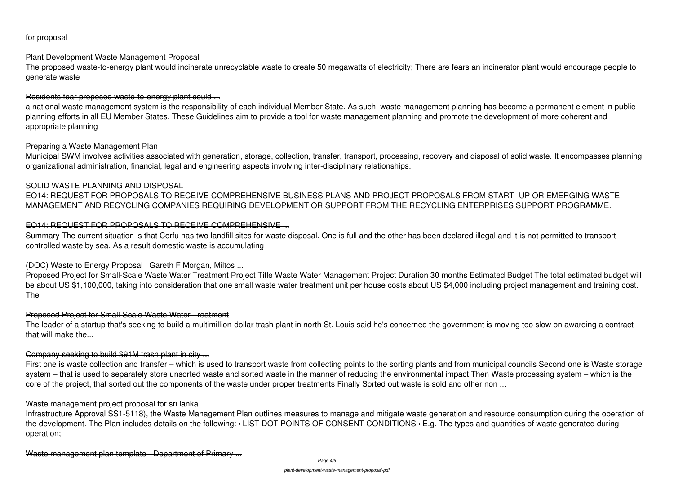for proposal

# Plant Development Waste Management Proposal

The proposed waste-to-energy plant would incinerate unrecyclable waste to create 50 megawatts of electricity; There are fears an incinerator plant would encourage people to generate waste

# Residents fear proposed waste-to-energy plant could ...

a national waste management system is the responsibility of each individual Member State. As such, waste management planning has become a permanent element in public planning efforts in all EU Member States. These Guidelines aim to provide a tool for waste management planning and promote the development of more coherent and appropriate planning

# Preparing a Waste Management Plan

Municipal SWM involves activities associated with generation, storage, collection, transfer, transport, processing, recovery and disposal of solid waste. It encompasses planning, organizational administration, financial, legal and engineering aspects involving inter-disciplinary relationships.

# SOLID WASTE PLANNING AND DISPOSAL

EO14: REQUEST FOR PROPOSALS TO RECEIVE COMPREHENSIVE BUSINESS PLANS AND PROJECT PROPOSALS FROM START -UP OR EMERGING WASTE MANAGEMENT AND RECYCLING COMPANIES REQUIRING DEVELOPMENT OR SUPPORT FROM THE RECYCLING ENTERPRISES SUPPORT PROGRAMME.

# EO14: REQUEST FOR PROPOSALS TO RECEIVE COMPREHENSIVE ...

Summary The current situation is that Corfu has two landfill sites for waste disposal. One is full and the other has been declared illegal and it is not permitted to transport controlled waste by sea. As a result domestic waste is accumulating

# (DOC) Waste to Energy Proposal | Gareth F Morgan, Miltos ...

Proposed Project for Small-Scale Waste Water Treatment Project Title Waste Water Management Project Duration 30 months Estimated Budget The total estimated budget will be about US \$1,100,000, taking into consideration that one small waste water treatment unit per house costs about US \$4,000 including project management and training cost. The

# Proposed Project for Small-Scale Waste Water Treatment

The leader of a startup that's seeking to build a multimillion-dollar trash plant in north St. Louis said he's concerned the government is moving too slow on awarding a contract that will make the...

# Company seeking to build \$91M trash plant in city ...

First one is waste collection and transfer – which is used to transport waste from collecting points to the sorting plants and from municipal councils Second one is Waste storage system – that is used to separately store unsorted waste and sorted waste in the manner of reducing the environmental impact Then Waste processing system – which is the core of the project, that sorted out the components of the waste under proper treatments Finally Sorted out waste is sold and other non ...

# Waste management project proposal for sri lanka

Infrastructure Approval SS1-5118), the Waste Management Plan outlines measures to manage and mitigate waste generation and resource consumption during the operation of the development. The Plan includes details on the following: ‹ LIST DOT POINTS OF CONSENT CONDITIONS ‹ E.g. The types and quantities of waste generated during operation;

Waste management plan template - Department of Primary ...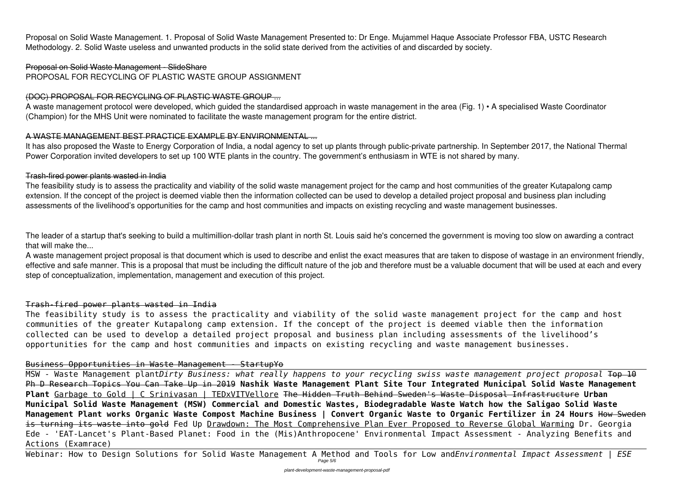Proposal on Solid Waste Management. 1. Proposal of Solid Waste Management Presented to: Dr Enge. Mujammel Haque Associate Professor FBA, USTC Research Methodology. 2. Solid Waste useless and unwanted products in the solid state derived from the activities of and discarded by society.

## Proposal on Solid Waste Management - SlideShare PROPOSAL FOR RECYCLING OF PLASTIC WASTE GROUP ASSIGNMENT

# (DOC) PROPOSAL FOR RECYCLING OF PLASTIC WASTE GROUP ...

It has also proposed the Waste to Energy Corporation of India, a nodal agency to set up plants through public-private partnership. In September 2017, the National Thermal Power Corporation invited developers to set up 100 WTE plants in the country. The government's enthusiasm in WTE is not shared by many.

A waste management protocol were developed, which guided the standardised approach in waste management in the area (Fig. 1) • A specialised Waste Coordinator (Champion) for the MHS Unit were nominated to facilitate the waste management program for the entire district.

# A WASTE MANAGEMENT BEST PRACTICE EXAMPLE BY ENVIRONMENTAL ...

The feasibility study is to assess the practicality and viability of the solid waste management project for the camp and host communities of the greater Kutapalong camp extension. If the concept of the project is deemed viable then the information collected can be used to develop a detailed project proposal and business plan including assessments of the livelihood's opportunities for the camp and host communities and impacts on existing recycling and waste management businesses.

# Trash-fired power plants wasted in India

The leader of a startup that's seeking to build a multimillion-dollar trash plant in north St. Louis said he's concerned the government is moving too slow on awarding a contract that will make the...

Webinar: How to Design Solutions for Solid Waste Management A Method and Tools for Low and*Environmental Impact Assessment | ESE* Page 5/6

A waste management project proposal is that document which is used to describe and enlist the exact measures that are taken to dispose of wastage in an environment friendly, effective and safe manner. This is a proposal that must be including the difficult nature of the job and therefore must be a valuable document that will be used at each and every step of conceptualization, implementation, management and execution of this project.

# Trash-fired power plants wasted in India

The feasibility study is to assess the practicality and viability of the solid waste management project for the camp and host communities of the greater Kutapalong camp extension. If the concept of the project is deemed viable then the information collected can be used to develop a detailed project proposal and business plan including assessments of the livelihood's opportunities for the camp and host communities and impacts on existing recycling and waste management businesses.

# Business Opportunities in Waste Management - StartupYo

MSW - Waste Management plant*Dirty Business: what really happens to your recycling swiss waste management project proposal* Top 10 Ph D Research Topics You Can Take Up in 2019 **Nashik Waste Management Plant Site Tour Integrated Municipal Solid Waste Management Plant** Garbage to Gold | C Srinivasan | TEDxVITVellore The Hidden Truth Behind Sweden's Waste Disposal Infrastructure **Urban Municipal Solid Waste Management (MSW) Commercial and Domestic Wastes, Biodegradable Waste Watch how the Saligao Solid Waste Management Plant works Organic Waste Compost Machine Business | Convert Organic Waste to Organic Fertilizer in 24 Hours** How Sweden is turning its waste into gold Fed Up Drawdown: The Most Comprehensive Plan Ever Proposed to Reverse Global Warming Dr. Georgia Ede - 'EAT-Lancet's Plant-Based Planet: Food in the (Mis)Anthropocene' Environmental Impact Assessment - Analyzing Benefits and Actions (Examrace)